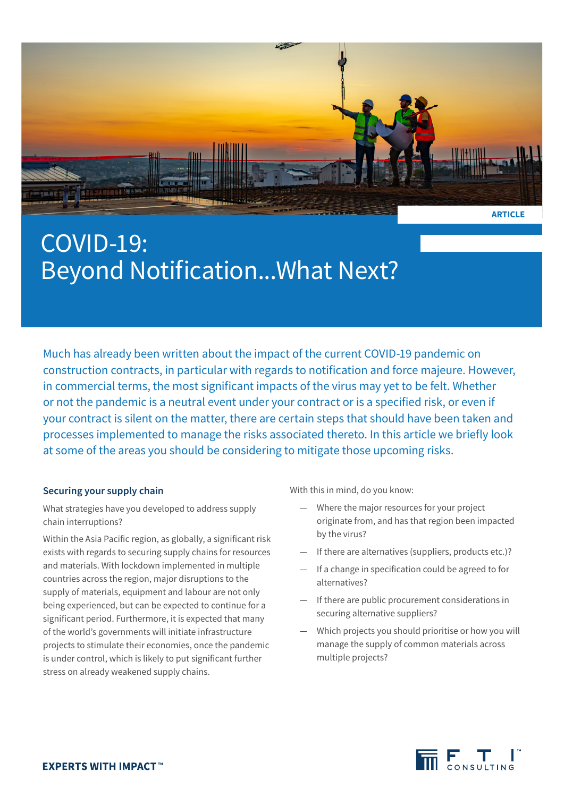

# COVID-19: Beyond Notification...What Next?

Much has already been written about the impact of the current COVID-19 pandemic on construction contracts, in particular with regards to notification and force majeure. However, in commercial terms, the most significant impacts of the virus may yet to be felt. Whether or not the pandemic is a neutral event under your contract or is a specified risk, or even if your contract is silent on the matter, there are certain steps that should have been taken and processes implemented to manage the risks associated thereto. In this article we briefly look at some of the areas you should be considering to mitigate those upcoming risks.

### **Securing your supply chain**

What strategies have you developed to address supply chain interruptions?

Within the Asia Pacific region, as globally, a significant risk exists with regards to securing supply chains for resources and materials. With lockdown implemented in multiple countries across the region, major disruptions to the supply of materials, equipment and labour are not only being experienced, but can be expected to continue for a significant period. Furthermore, it is expected that many of the world's governments will initiate infrastructure projects to stimulate their economies, once the pandemic is under control, which is likely to put significant further stress on already weakened supply chains.

With this in mind, do you know:

- Where the major resources for your project originate from, and has that region been impacted by the virus?
- If there are alternatives (suppliers, products etc.)?
- If a change in specification could be agreed to for alternatives?
- If there are public procurement considerations in securing alternative suppliers?
- Which projects you should prioritise or how you will manage the supply of common materials across multiple projects?

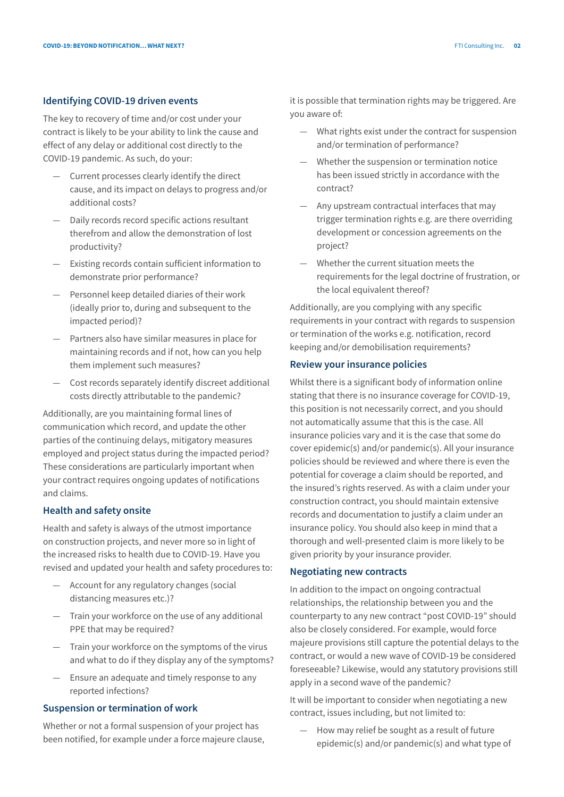#### **Identifying COVID-19 driven events**

The key to recovery of time and/or cost under your contract is likely to be your ability to link the cause and effect of any delay or additional cost directly to the COVID-19 pandemic. As such, do your:

- Current processes clearly identify the direct cause, and its impact on delays to progress and/or additional costs?
- Daily records record specific actions resultant therefrom and allow the demonstration of lost productivity?
- Existing records contain sufficient information to demonstrate prior performance?
- Personnel keep detailed diaries of their work (ideally prior to, during and subsequent to the impacted period)?
- Partners also have similar measures in place for maintaining records and if not, how can you help them implement such measures?
- Cost records separately identify discreet additional costs directly attributable to the pandemic?

Additionally, are you maintaining formal lines of communication which record, and update the other parties of the continuing delays, mitigatory measures employed and project status during the impacted period? These considerations are particularly important when your contract requires ongoing updates of notifications and claims.

#### **Health and safety onsite**

Health and safety is always of the utmost importance on construction projects, and never more so in light of the increased risks to health due to COVID-19. Have you revised and updated your health and safety procedures to:

- Account for any regulatory changes (social distancing measures etc.)?
- Train your workforce on the use of any additional PPE that may be required?
- Train your workforce on the symptoms of the virus and what to do if they display any of the symptoms?
- Ensure an adequate and timely response to any reported infections?

#### **Suspension or termination of work**

Whether or not a formal suspension of your project has been notified, for example under a force majeure clause, it is possible that termination rights may be triggered. Are you aware of:

- What rights exist under the contract for suspension and/or termination of performance?
- Whether the suspension or termination notice has been issued strictly in accordance with the contract?
- Any upstream contractual interfaces that may trigger termination rights e.g. are there overriding development or concession agreements on the project?
- Whether the current situation meets the requirements for the legal doctrine of frustration, or the local equivalent thereof?

Additionally, are you complying with any specific requirements in your contract with regards to suspension or termination of the works e.g. notification, record keeping and/or demobilisation requirements?

#### **Review your insurance policies**

Whilst there is a significant body of information online stating that there is no insurance coverage for COVID-19, this position is not necessarily correct, and you should not automatically assume that this is the case. All insurance policies vary and it is the case that some do cover epidemic(s) and/or pandemic(s). All your insurance policies should be reviewed and where there is even the potential for coverage a claim should be reported, and the insured's rights reserved. As with a claim under your construction contract, you should maintain extensive records and documentation to justify a claim under an insurance policy. You should also keep in mind that a thorough and well-presented claim is more likely to be given priority by your insurance provider.

#### **Negotiating new contracts**

In addition to the impact on ongoing contractual relationships, the relationship between you and the counterparty to any new contract "post COVID-19" should also be closely considered. For example, would force majeure provisions still capture the potential delays to the contract, or would a new wave of COVID-19 be considered foreseeable? Likewise, would any statutory provisions still apply in a second wave of the pandemic?

It will be important to consider when negotiating a new contract, issues including, but not limited to:

— How may relief be sought as a result of future epidemic(s) and/or pandemic(s) and what type of